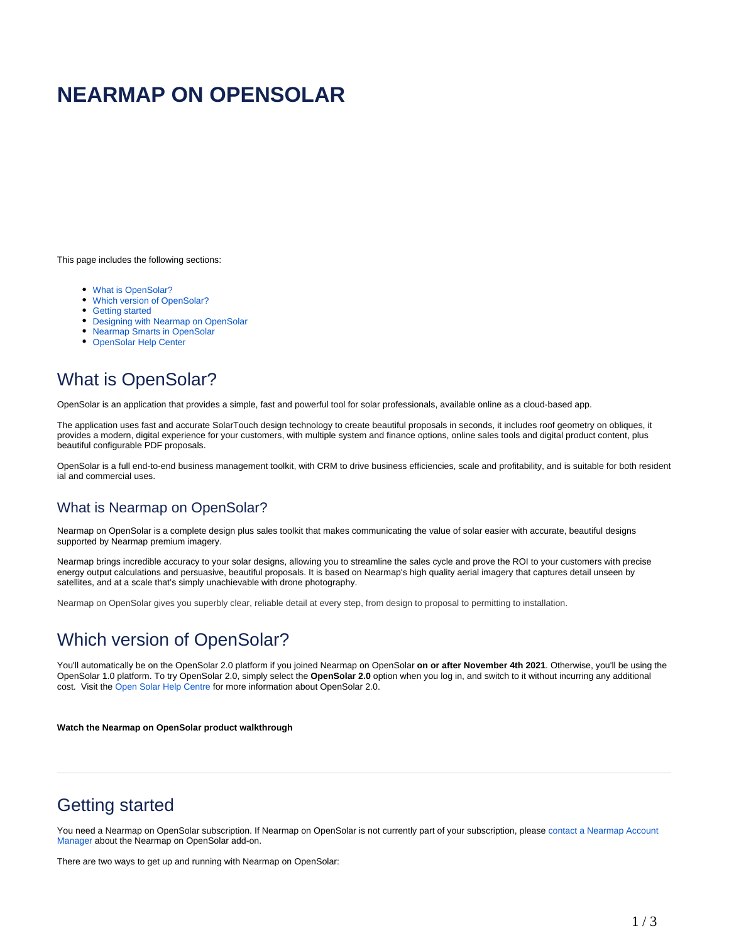# **NEARMAP ON OPENSOLAR**

This page includes the following sections:

- [What is OpenSolar?](#page-0-0)
- [Which version of OpenSolar?](#page-0-1)
- [Getting started](#page-0-2)
- [Designing with Nearmap on OpenSolar](#page-1-0)
- [Nearmap Smarts in OpenSolar](#page-1-1)
- [OpenSolar Help Center](#page-1-2)

## <span id="page-0-0"></span>What is OpenSolar?

OpenSolar is an application that provides a simple, fast and powerful tool for solar professionals, available online as a cloud-based app.

The application uses fast and accurate SolarTouch design technology to create beautiful proposals in seconds, it includes roof geometry on obliques, it provides a modern, digital experience for your customers, with multiple system and finance options, online sales tools and digital product content, plus beautiful configurable PDF proposals.

OpenSolar is a full end-to-end business management toolkit, with CRM to drive business efficiencies, scale and profitability, and is suitable for both resident ial and commercial uses.

#### What is Nearmap on OpenSolar?

Nearmap on OpenSolar is a complete design plus sales toolkit that makes communicating the value of solar easier with accurate, beautiful designs supported by Nearmap premium imagery.

Nearmap brings incredible accuracy to your solar designs, allowing you to streamline the sales cycle and prove the ROI to your customers with precise energy output calculations and persuasive, beautiful proposals. It is based on Nearmap's high quality aerial imagery that captures detail unseen by satellites, and at a scale that's simply unachievable with drone photography.

Nearmap on OpenSolar gives you superbly clear, reliable detail at every step, from design to proposal to permitting to installation.

### <span id="page-0-1"></span>Which version of OpenSolar?

You'll automatically be on the OpenSolar 2.0 platform if you joined Nearmap on OpenSolar on or after November 4th 2021. Otherwise, you'll be using the OpenSolar 1.0 platform. To try OpenSolar 2.0, simply select the **OpenSolar 2.0** option when you log in, and switch to it without incurring any additional cost. Visit the [Open Solar Help Centre](https://support.opensolar.com/hc/en-us/categories/4403256461593-1-Training-Package) for more information about OpenSolar 2.0.

**Watch the Nearmap on OpenSolar product walkthrough**

### <span id="page-0-2"></span>Getting started

You need a Nearmap on OpenSolar subscription. If Nearmap on OpenSolar is not currently part of your subscription, please [contact a Nearmap Account](https://www.nearmap.com/au/en/current-maps-contact)  [Manager](https://www.nearmap.com/au/en/current-maps-contact) about the Nearmap on OpenSolar add-on.

There are two ways to get up and running with Nearmap on OpenSolar: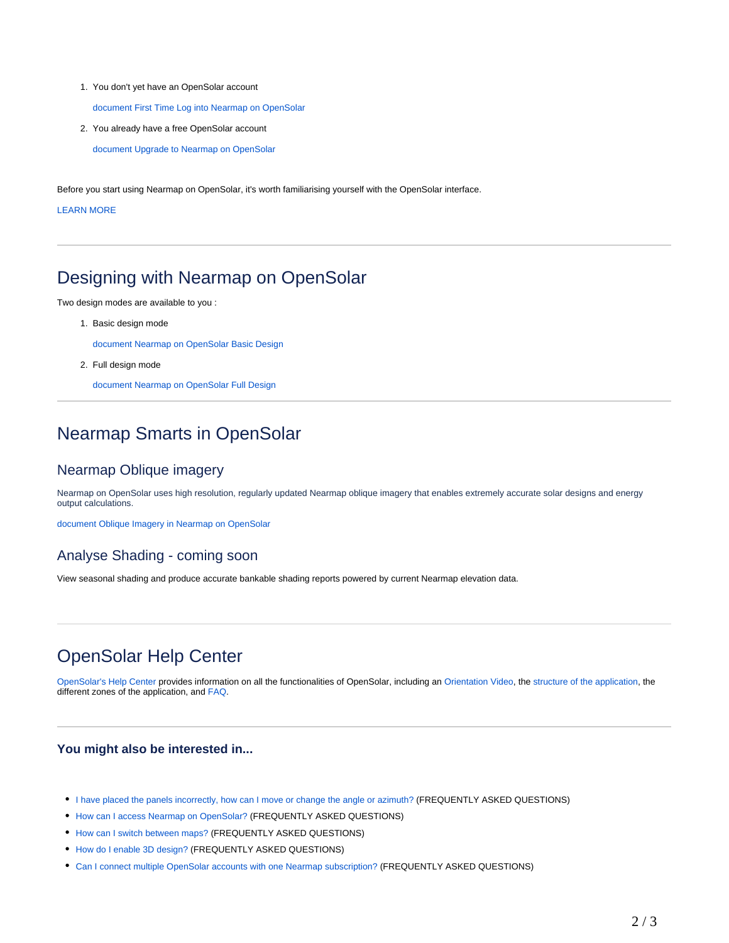1. You don't yet have an OpenSolar account

[document First Time Log into Nearmap on OpenSolar](https://docs.nearmap.com/display/ND/First+Time+Log+into+Nearmap+on+OpenSolar) 

2. You already have a free OpenSolar account

[document Upgrade to Nearmap on OpenSolar](https://docs.nearmap.com/display/ND/Upgrade+to+Nearmap+on+OpenSolar) 

Before you start using Nearmap on OpenSolar, it's worth familiarising yourself with the OpenSolar interface.

LEARN MORE

#### <span id="page-1-0"></span>Designing with Nearmap on OpenSolar

Two design modes are available to you :

1. Basic design mode

[document Nearmap on OpenSolar Basic Design](https://docs.nearmap.com/display/ND/Nearmap+on+OpenSolar+Basic+Design) 

2. Full design mode

[document Nearmap on OpenSolar Full Design](https://docs.nearmap.com/display/ND/Nearmap+on+OpenSolar+Full+Design) 

### <span id="page-1-1"></span>Nearmap Smarts in OpenSolar

#### Nearmap Oblique imagery

Nearmap on OpenSolar uses high resolution, regularly updated Nearmap oblique imagery that enables extremely accurate solar designs and energy output calculations.

[document Oblique Imagery in Nearmap on OpenSolar](https://docs.nearmap.com/display/ND/Oblique+Imagery+in+Nearmap+on+OpenSolar) 

#### Analyse Shading - coming soon

View seasonal shading and produce accurate bankable shading reports powered by current Nearmap elevation data.

### <span id="page-1-2"></span>OpenSolar Help Center

[OpenSolar's Help Center](https://support.opensolar.com/hc/en-us) provides information on all the functionalities of OpenSolar, including an [Orientation Video](https://support.opensolar.com/hc/en-us/articles/360028289752-Orientation-Video), the [structure of the application,](https://support.opensolar.com/hc/en-us/sections/360003261811-The-Four-Zones-of-OpenSolar) the different zones of the application, and [FAQ](https://support.opensolar.com/hc/en-us/categories/360001343111-8-FAQ).

#### **You might also be interested in...**

- [I have placed the panels incorrectly, how can I move or change the angle or azimuth?](https://docs.nearmap.com/pages/viewpage.action?pageId=54198493) (FREQUENTLY ASKED QUESTIONS)
- [How can I access Nearmap on OpenSolar?](https://docs.nearmap.com/pages/viewpage.action?pageId=54198495) (FREQUENTLY ASKED QUESTIONS)
- [How can I switch between maps?](https://docs.nearmap.com/pages/viewpage.action?pageId=54198485) (FREQUENTLY ASKED QUESTIONS)
- [How do I enable 3D design?](https://docs.nearmap.com/pages/viewpage.action?pageId=54198499) (FREQUENTLY ASKED QUESTIONS)
- [Can I connect multiple OpenSolar accounts with one Nearmap subscription?](https://docs.nearmap.com/pages/viewpage.action?pageId=54198501) (FREQUENTLY ASKED QUESTIONS)